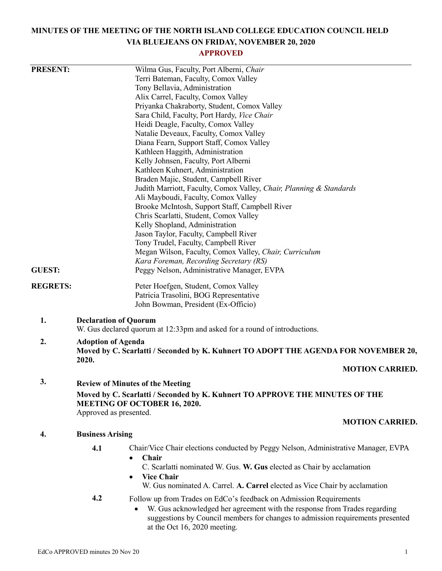# **MINUTES OF THE MEETING OF THE NORTH ISLAND COLLEGE EDUCATION COUNCIL HELD VIA BLUEJEANS ON FRIDAY, NOVEMBER 20, 2020**

## **APPROVED**

| <b>PRESENT:</b>                                                              |                                                                                                                  | Wilma Gus, Faculty, Port Alberni, Chair                                                                                                                     |  |
|------------------------------------------------------------------------------|------------------------------------------------------------------------------------------------------------------|-------------------------------------------------------------------------------------------------------------------------------------------------------------|--|
|                                                                              |                                                                                                                  | Terri Bateman, Faculty, Comox Valley                                                                                                                        |  |
|                                                                              |                                                                                                                  | Tony Bellavia, Administration                                                                                                                               |  |
|                                                                              |                                                                                                                  | Alix Carrel, Faculty, Comox Valley                                                                                                                          |  |
|                                                                              |                                                                                                                  | Priyanka Chakraborty, Student, Comox Valley                                                                                                                 |  |
|                                                                              |                                                                                                                  | Sara Child, Faculty, Port Hardy, Vice Chair                                                                                                                 |  |
|                                                                              |                                                                                                                  | Heidi Deagle, Faculty, Comox Valley                                                                                                                         |  |
|                                                                              |                                                                                                                  | Natalie Deveaux, Faculty, Comox Valley                                                                                                                      |  |
|                                                                              |                                                                                                                  | Diana Fearn, Support Staff, Comox Valley                                                                                                                    |  |
|                                                                              |                                                                                                                  | Kathleen Haggith, Administration                                                                                                                            |  |
|                                                                              |                                                                                                                  | Kelly Johnsen, Faculty, Port Alberni                                                                                                                        |  |
|                                                                              |                                                                                                                  | Kathleen Kuhnert, Administration                                                                                                                            |  |
|                                                                              |                                                                                                                  | Braden Majic, Student, Campbell River                                                                                                                       |  |
|                                                                              |                                                                                                                  | Judith Marriott, Faculty, Comox Valley, Chair, Planning & Standards                                                                                         |  |
|                                                                              |                                                                                                                  | Ali Mayboudi, Faculty, Comox Valley                                                                                                                         |  |
|                                                                              |                                                                                                                  | Brooke McIntosh, Support Staff, Campbell River                                                                                                              |  |
|                                                                              |                                                                                                                  | Chris Scarlatti, Student, Comox Valley                                                                                                                      |  |
|                                                                              |                                                                                                                  | Kelly Shopland, Administration                                                                                                                              |  |
|                                                                              |                                                                                                                  | Jason Taylor, Faculty, Campbell River                                                                                                                       |  |
|                                                                              |                                                                                                                  | Tony Trudel, Faculty, Campbell River                                                                                                                        |  |
|                                                                              |                                                                                                                  | Megan Wilson, Faculty, Comox Valley, Chair, Curriculum                                                                                                      |  |
|                                                                              |                                                                                                                  | Kara Foreman, Recording Secretary (RS)                                                                                                                      |  |
| <b>GUEST:</b>                                                                |                                                                                                                  | Peggy Nelson, Administrative Manager, EVPA                                                                                                                  |  |
| <b>REGRETS:</b>                                                              |                                                                                                                  | Peter Hoefgen, Student, Comox Valley                                                                                                                        |  |
|                                                                              |                                                                                                                  | Patricia Trasolini, BOG Representative                                                                                                                      |  |
|                                                                              |                                                                                                                  | John Bowman, President (Ex-Officio)                                                                                                                         |  |
| 1.                                                                           |                                                                                                                  | <b>Declaration of Quorum</b>                                                                                                                                |  |
|                                                                              |                                                                                                                  | W. Gus declared quorum at 12:33pm and asked for a round of introductions.                                                                                   |  |
| 2.                                                                           | <b>Adoption of Agenda</b><br>Moved by C. Scarlatti / Seconded by K. Kuhnert TO ADOPT THE AGENDA FOR NOVEMBER 20, |                                                                                                                                                             |  |
|                                                                              |                                                                                                                  |                                                                                                                                                             |  |
|                                                                              |                                                                                                                  | <b>MOTION CARRIED.</b>                                                                                                                                      |  |
|                                                                              | 3.                                                                                                               | <b>Review of Minutes of the Meeting</b>                                                                                                                     |  |
| Moved by C. Scarlatti / Seconded by K. Kuhnert TO APPROVE THE MINUTES OF THE |                                                                                                                  |                                                                                                                                                             |  |
| MEETING OF OCTOBER 16, 2020.                                                 |                                                                                                                  |                                                                                                                                                             |  |
| Approved as presented.                                                       |                                                                                                                  |                                                                                                                                                             |  |
|                                                                              |                                                                                                                  | <b>MOTION CARRIED.</b>                                                                                                                                      |  |
| 4.                                                                           | <b>Business Arising</b>                                                                                          |                                                                                                                                                             |  |
|                                                                              | 4.1                                                                                                              | Chair/Vice Chair elections conducted by Peggy Nelson, Administrative Manager, EVPA                                                                          |  |
|                                                                              |                                                                                                                  | Chair<br>$\bullet$                                                                                                                                          |  |
|                                                                              |                                                                                                                  | C. Scarlatti nominated W. Gus. W. Gus elected as Chair by acclamation                                                                                       |  |
|                                                                              |                                                                                                                  | <b>Vice Chair</b>                                                                                                                                           |  |
|                                                                              |                                                                                                                  | W. Gus nominated A. Carrel. A. Carrel elected as Vice Chair by acclamation                                                                                  |  |
|                                                                              | 4.2                                                                                                              |                                                                                                                                                             |  |
|                                                                              |                                                                                                                  | Follow up from Trades on EdCo's feedback on Admission Requirements                                                                                          |  |
|                                                                              |                                                                                                                  | W. Gus acknowledged her agreement with the response from Trades regarding<br>suggestions by Council members for changes to admission requirements presented |  |

at the Oct 16, 2020 meeting.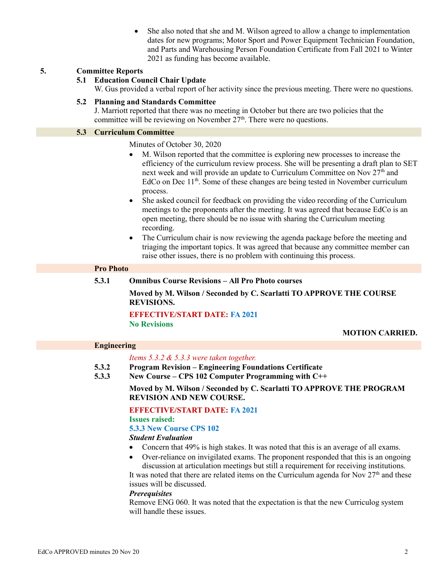She also noted that she and M. Wilson agreed to allow a change to implementation dates for new programs; Motor Sport and Power Equipment Technician Foundation, and Parts and Warehousing Person Foundation Certificate from Fall 2021 to Winter 2021 as funding has become available.

### **5. Committee Reports**

## **5.1 Education Council Chair Update**

W. Gus provided a verbal report of her activity since the previous meeting. There were no questions.

#### **5.2 Planning and Standards Committee**

J. Marriott reported that there was no meeting in October but there are two policies that the committee will be reviewing on November  $27<sup>th</sup>$ . There were no questions.

#### **5.3 Curriculum Committee**

Minutes of October 30, 2020

- M. Wilson reported that the committee is exploring new processes to increase the efficiency of the curriculum review process. She will be presenting a draft plan to SET next week and will provide an update to Curriculum Committee on Nov 27<sup>th</sup> and EdCo on Dec 11<sup>th</sup>. Some of these changes are being tested in November curriculum process.
- She asked council for feedback on providing the video recording of the Curriculum meetings to the proponents after the meeting. It was agreed that because EdCo is an open meeting, there should be no issue with sharing the Curriculum meeting recording.
- The Curriculum chair is now reviewing the agenda package before the meeting and triaging the important topics. It was agreed that because any committee member can raise other issues, there is no problem with continuing this process.

#### **Pro Photo**

#### **5.3.1 Omnibus Course Revisions – All Pro Photo courses**

**Moved by M. Wilson / Seconded by C. Scarlatti TO APPROVE THE COURSE REVISIONS.**

#### **EFFECTIVE/START DATE: FA 2021 No Revisions**

#### **MOTION CARRIED.**

#### **Engineering**

#### *Items 5.3.2 & 5.3.3 were taken together.*

- **5.3.2 Program Revision – Engineering Foundations Certificate**
- **5.3.3 New Course – CPS 102 Computer Programming with C++**

**Moved by M. Wilson / Seconded by C. Scarlatti TO APPROVE THE PROGRAM REVISION AND NEW COURSE.**

**EFFECTIVE/START DATE: FA 2021 Issues raised:**

#### **5.3.3 New Course CPS 102**

#### *Student Evaluation*

- Concern that 49% is high stakes. It was noted that this is an average of all exams.
- Over-reliance on invigilated exams. The proponent responded that this is an ongoing discussion at articulation meetings but still a requirement for receiving institutions. It was noted that there are related items on the Curriculum agenda for Nov  $27<sup>th</sup>$  and these

issues will be discussed.

#### *Prerequisites*

Remove ENG 060. It was noted that the expectation is that the new Curriculog system will handle these issues.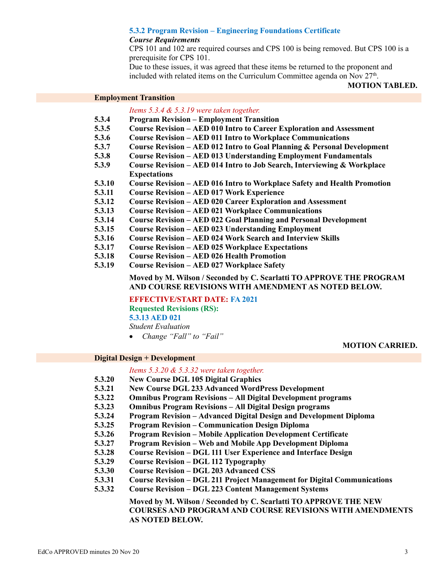#### **5.3.2 Program Revision – Engineering Foundations Certificate**

#### *Course Requirements*

CPS 101 and 102 are required courses and CPS 100 is being removed. But CPS 100 is a prerequisite for CPS 101.

Due to these issues, it was agreed that these items be returned to the proponent and included with related items on the Curriculum Committee agenda on Nov  $27<sup>th</sup>$ .

#### **MOTION TABLED.**

#### **Employment Transition**

#### *Items 5.3.4 & 5.3.19 were taken together.*

- **5.3.4 Program Revision – Employment Transition**
- **5.3.5 Course Revision – AED 010 Intro to Career Exploration and Assessment**
- **5.3.6 Course Revision – AED 011 Intro to Workplace Communications**
- **5.3.7 Course Revision – AED 012 Intro to Goal Planning & Personal Development**
- **5.3.8 Course Revision – AED 013 Understanding Employment Fundamentals**
- **5.3.9 Course Revision – AED 014 Intro to Job Search, Interviewing & Workplace Expectations**
- **5.3.10 Course Revision – AED 016 Intro to Workplace Safety and Health Promotion**
- **5.3.11 Course Revision – AED 017 Work Experience**
- **5.3.12 Course Revision – AED 020 Career Exploration and Assessment**
- **5.3.13 Course Revision – AED 021 Workplace Communications**
- **5.3.14 Course Revision – AED 022 Goal Planning and Personal Development**
- **5.3.15 Course Revision – AED 023 Understanding Employment**
- **5.3.16 Course Revision – AED 024 Work Search and Interview Skills**
- **5.3.17 Course Revision – AED 025 Workplace Expectations**
- **5.3.18 Course Revision – AED 026 Health Promotion**
- **5.3.19 Course Revision – AED 027 Workplace Safety**

**Moved by M. Wilson / Seconded by C. Scarlatti TO APPROVE THE PROGRAM AND COURSE REVISIONS WITH AMENDMENT AS NOTED BELOW.**

**EFFECTIVE/START DATE: FA 2021 Requested Revisions (RS): 5.3.13 AED 021**

*Student Evaluation*

*Change "Fall" to "Fail"*

#### **MOTION CARRIED.**

### **Digital Design + Development**

*Items 5.3.20 & 5.3.32 were taken together.*

- **5.3.20 New Course DGL 105 Digital Graphics**
- **5.3.21 New Course DGL 233 Advanced WordPress Development**
- **5.3.22 Omnibus Program Revisions – All Digital Development programs**
- **5.3.23 Omnibus Program Revisions – All Digital Design programs**
- **5.3.24 Program Revision – Advanced Digital Design and Development Diploma**
- **5.3.25 Program Revision – Communication Design Diploma**
- **5.3.26 Program Revision – Mobile Application Development Certificate**
- **5.3.27 Program Revision – Web and Mobile App Development Diploma**
- **5.3.28 Course Revision – DGL 111 User Experience and Interface Design**
- **5.3.29 Course Revision – DGL 112 Typography**
- **5.3.30 Course Revision – DGL 203 Advanced CSS**
- **5.3.31 Course Revision – DGL 211 Project Management for Digital Communications**
- **5.3.32 Course Revision – DGL 223 Content Management Systems**

**Moved by M. Wilson / Seconded by C. Scarlatti TO APPROVE THE NEW COURSES AND PROGRAM AND COURSE REVISIONS WITH AMENDMENTS AS NOTED BELOW.**